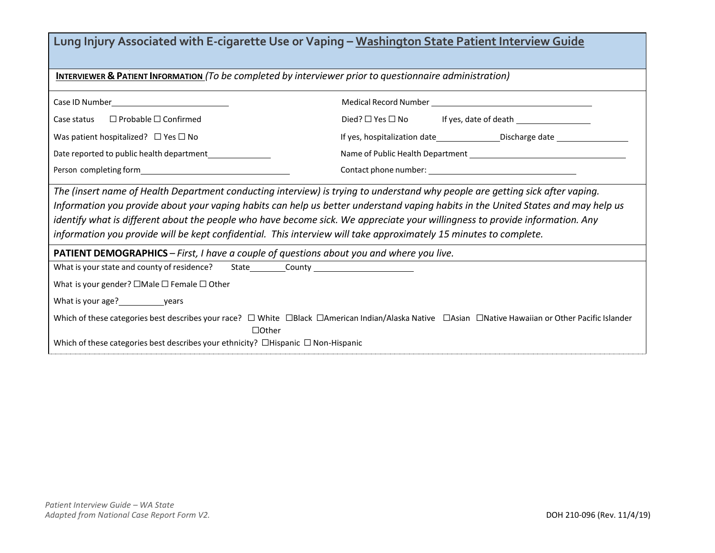| Lung Injury Associated with E-cigarette Use or Vaping - Washington State Patient Interview Guide                                                                                                                                                                                                                                                                                                                                                                                                                        |                                                                                  |  |
|-------------------------------------------------------------------------------------------------------------------------------------------------------------------------------------------------------------------------------------------------------------------------------------------------------------------------------------------------------------------------------------------------------------------------------------------------------------------------------------------------------------------------|----------------------------------------------------------------------------------|--|
| <b>INTERVIEWER &amp; PATIENT INFORMATION</b> (To be completed by interviewer prior to questionnaire administration)                                                                                                                                                                                                                                                                                                                                                                                                     |                                                                                  |  |
| Case ID Number________________________________                                                                                                                                                                                                                                                                                                                                                                                                                                                                          |                                                                                  |  |
| Case status □ Probable □ Confirmed                                                                                                                                                                                                                                                                                                                                                                                                                                                                                      |                                                                                  |  |
| Was patient hospitalized? $\Box$ Yes $\Box$ No                                                                                                                                                                                                                                                                                                                                                                                                                                                                          | If yes, hospitalization date______________________Discharge date _______________ |  |
| Date reported to public health department                                                                                                                                                                                                                                                                                                                                                                                                                                                                               |                                                                                  |  |
|                                                                                                                                                                                                                                                                                                                                                                                                                                                                                                                         |                                                                                  |  |
| The (insert name of Health Department conducting interview) is trying to understand why people are getting sick after vaping.<br>Information you provide about your vaping habits can help us better understand vaping habits in the United States and may help us<br>identify what is different about the people who have become sick. We appreciate your willingness to provide information. Any<br>information you provide will be kept confidential. This interview will take approximately 15 minutes to complete. |                                                                                  |  |
| <b>PATIENT DEMOGRAPHICS</b> – First, I have a couple of questions about you and where you live.                                                                                                                                                                                                                                                                                                                                                                                                                         |                                                                                  |  |
| What is your state and county of residence? State________________________________                                                                                                                                                                                                                                                                                                                                                                                                                                       |                                                                                  |  |
| What is your gender? $\Box$ Male $\Box$ Female $\Box$ Other                                                                                                                                                                                                                                                                                                                                                                                                                                                             |                                                                                  |  |
| What is your age? vears                                                                                                                                                                                                                                                                                                                                                                                                                                                                                                 |                                                                                  |  |
| Which of these categories best describes your race? □ White □Black □American Indian/Alaska Native □Asian □Native Hawaiian or Other Pacific Islander<br>$\Box$ Other<br>Which of these categories best describes your ethnicity? $\Box$ Hispanic $\Box$ Non-Hispanic                                                                                                                                                                                                                                                     |                                                                                  |  |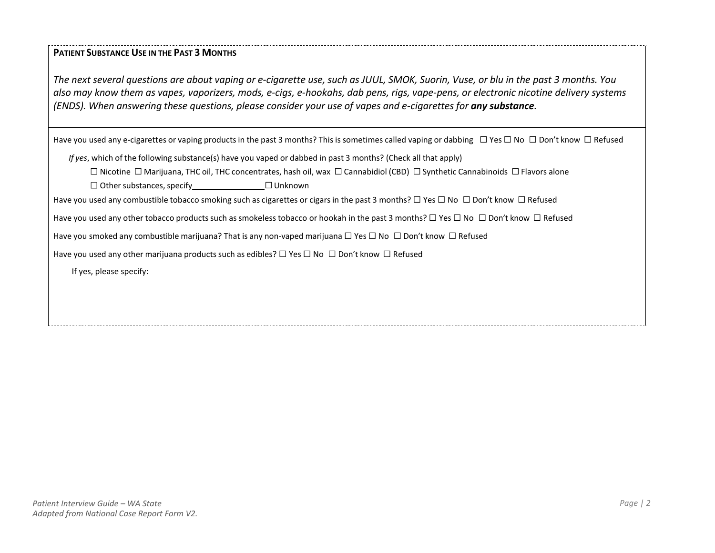## **PATIENT SUBSTANCE USE IN THE PAST 3 MONTHS**

The next several questions are about vaping or e-cigarette use, such as JUUL, SMOK, Suorin, Vuse, or blu in the past 3 months. You also may know them as vapes, vaporizers, mods, e-cigs, e-hookahs, dab pens, rigs, vape-pens, or electronic nicotine delivery systems (ENDS). When answering these questions, please consider your use of vapes and e-cigarettes for any substance.

Have you used any e-cigarettes or vaping products in the past 3 months? This is sometimes called vaping or dabbing □ Yes □ No □ Don't know □ Refused

*If yes*, which of the following substance(s) have you vaped or dabbed in past 3 months? (Check all that apply)

Nicotine ☐ Marijuana, THC oil, THC concentrates, hash oil, wax ☐ Cannabidiol (CBD) ☐ Synthetic Cannabinoids ☐ Flavors alone

□ Other substances, specify <u>□ □ Unknown</u>

Have you used any combustible tobacco smoking such as cigarettes or cigars in the past 3 months? □ Yes □ No □ Don't know □ Refused

Have you used any other tobacco products such as smokeless tobacco or hookah in the past 3 months? □ Yes □ No □ Don't know □ Refused

Have you smoked any combustible marijuana? That is any non-vaped marijuana □ Yes □ No □ Don't know □ Refused

Have you used any other marijuana products such as edibles?  $□$  Yes  $□$  No  $□$  Don't know  $□$  Refused

If yes, please specify: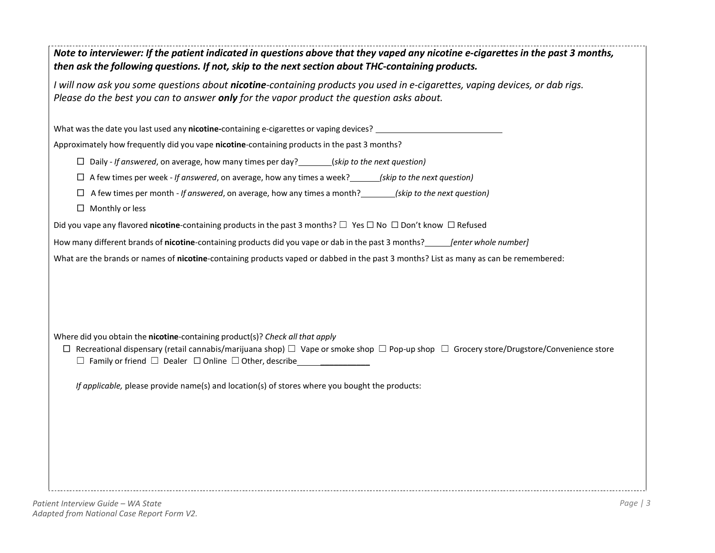| Note to interviewer: If the patient indicated in questions above that they vaped any nicotine e-cigarettes in the past 3 months,<br>then ask the following questions. If not, skip to the next section about THC-containing products.          |  |  |
|------------------------------------------------------------------------------------------------------------------------------------------------------------------------------------------------------------------------------------------------|--|--|
| I will now ask you some questions about nicotine-containing products you used in e-cigarettes, vaping devices, or dab rigs.<br>Please do the best you can to answer only for the vapor product the question asks about.                        |  |  |
| What was the date you last used any nicotine-containing e-cigarettes or vaping devices?                                                                                                                                                        |  |  |
| Approximately how frequently did you vape nicotine-containing products in the past 3 months?                                                                                                                                                   |  |  |
| $\Box$ Daily - If answered, on average, how many times per day? _______(skip to the next question)                                                                                                                                             |  |  |
| $\Box$ A few times per week - If answered, on average, how any times a week? ______(skip to the next question)                                                                                                                                 |  |  |
| $\Box$ A few times per month - If answered, on average, how any times a month? _______(skip to the next question)                                                                                                                              |  |  |
| $\Box$ Monthly or less                                                                                                                                                                                                                         |  |  |
| Did you vape any flavored nicotine-containing products in the past 3 months? $\Box$ Yes $\Box$ No $\Box$ Don't know $\Box$ Refused                                                                                                             |  |  |
| How many different brands of nicotine-containing products did you vape or dab in the past 3 months? [enter whole number]                                                                                                                       |  |  |
| What are the brands or names of nicotine-containing products vaped or dabbed in the past 3 months? List as many as can be remembered:                                                                                                          |  |  |
|                                                                                                                                                                                                                                                |  |  |
| Where did you obtain the nicotine-containing product(s)? Check all that apply<br>$\Box$ Recreational dispensary (retail cannabis/marijuana shop) $\Box$ Vape or smoke shop $\Box$ Pop-up shop $\Box$ Grocery store/Drugstore/Convenience store |  |  |
| If applicable, please provide name(s) and location(s) of stores where you bought the products:                                                                                                                                                 |  |  |
|                                                                                                                                                                                                                                                |  |  |
|                                                                                                                                                                                                                                                |  |  |
|                                                                                                                                                                                                                                                |  |  |
|                                                                                                                                                                                                                                                |  |  |
|                                                                                                                                                                                                                                                |  |  |
|                                                                                                                                                                                                                                                |  |  |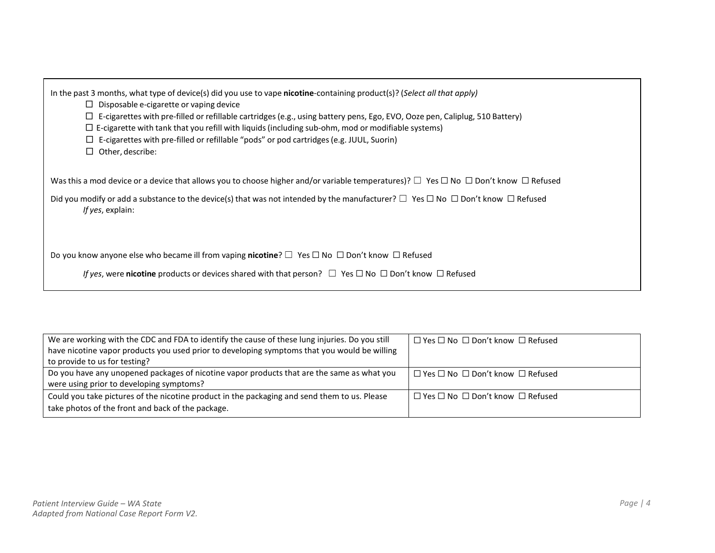| In the past 3 months, what type of device(s) did you use to vape nicotine-containing product(s)? (Select all that apply) |
|--------------------------------------------------------------------------------------------------------------------------|
|--------------------------------------------------------------------------------------------------------------------------|

- $\square$  Disposable e-cigarette or vaping device
- □ E-cigarettes with pre-filled or refillable cartridges(e.g., using battery pens, Ego, EVO, Ooze pen, Caliplug, 510 Battery)
- $\square$  E-cigarette with tank that you refill with liquids (including sub-ohm, mod or modifiable systems)
- □ E-cigarettes with pre-filled or refillable "pods" or pod cartridges(e.g. JUUL, Suorin)
- □ Other, describe:

Was this a mod device or a device that allows you to choose higher and/or variable temperatures)? □ Yes □ No □ Don't know □ Refused

Did you modify or add a substance to the device(s) that was not intended by the manufacturer?  $□$  Yes  $□$  No  $□$  Don't know  $□$  Refused *If yes*, explain:

Do you know anyone else who became ill from vaping **nicotine**? □ Yes □ No □ Don't know □ Refused

*If* yes, were nicotine products or devices shared with that person?  $□$  Yes  $□$  No  $□$  Don't know  $□$  Refused

| We are working with the CDC and FDA to identify the cause of these lung injuries. Do you still | $\Box$ Yes $\Box$ No $\Box$ Don't know $\Box$ Refused |
|------------------------------------------------------------------------------------------------|-------------------------------------------------------|
| have nicotine vapor products you used prior to developing symptoms that you would be willing   |                                                       |
| to provide to us for testing?                                                                  |                                                       |
| Do you have any unopened packages of nicotine vapor products that are the same as what you     | $\Box$ Yes $\Box$ No $\Box$ Don't know $\Box$ Refused |
| were using prior to developing symptoms?                                                       |                                                       |
| Could you take pictures of the nicotine product in the packaging and send them to us. Please   | $\Box$ Yes $\Box$ No $\Box$ Don't know $\Box$ Refused |
| take photos of the front and back of the package.                                              |                                                       |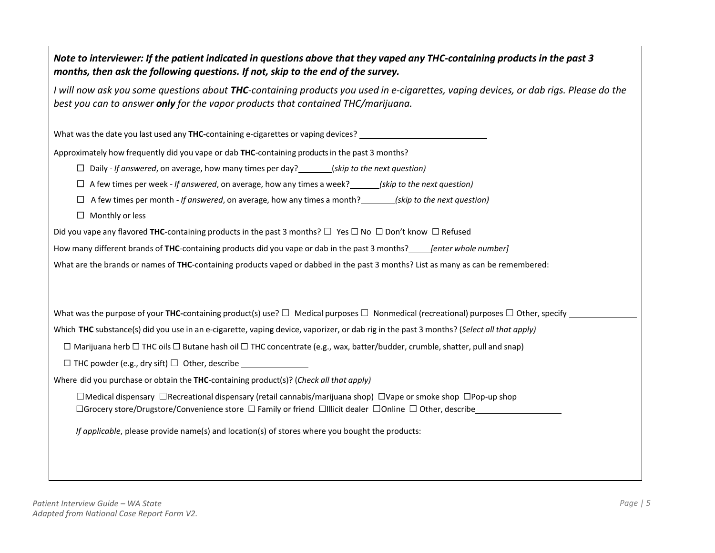| Note to interviewer: If the patient indicated in questions above that they vaped any THC-containing products in the past 3<br>months, then ask the following questions. If not, skip to the end of the survey.           |  |  |
|--------------------------------------------------------------------------------------------------------------------------------------------------------------------------------------------------------------------------|--|--|
| I will now ask you some questions about THC-containing products you used in e-cigarettes, vaping devices, or dab rigs. Please do the<br>best you can to answer only for the vapor products that contained THC/marijuana. |  |  |
| What was the date you last used any THC-containing e-cigarettes or vaping devices? ___________________________                                                                                                           |  |  |
| Approximately how frequently did you vape or dab THC-containing products in the past 3 months?                                                                                                                           |  |  |
| $\Box$ Daily - If answered, on average, how many times per day? _______(skip to the next question)                                                                                                                       |  |  |
| $\Box$ A few times per week - If answered, on average, how any times a week? ______(skip to the next question)                                                                                                           |  |  |
| $\Box$ A few times per month - If answered, on average, how any times a month? (skip to the next question)                                                                                                               |  |  |
| $\Box$ Monthly or less                                                                                                                                                                                                   |  |  |
| Did you vape any flavored THC-containing products in the past 3 months? $\Box$ Yes $\Box$ No $\Box$ Don't know $\Box$ Refused                                                                                            |  |  |
| How many different brands of THC-containing products did you vape or dab in the past 3 months? <i>[enter whole number]</i>                                                                                               |  |  |
| What are the brands or names of THC-containing products vaped or dabbed in the past 3 months? List as many as can be remembered:                                                                                         |  |  |
|                                                                                                                                                                                                                          |  |  |
|                                                                                                                                                                                                                          |  |  |
| Which THC substance(s) did you use in an e-cigarette, vaping device, vaporizer, or dab rig in the past 3 months? (Select all that apply)                                                                                 |  |  |
| $\Box$ Marijuana herb $\Box$ THC oils $\Box$ Butane hash oil $\Box$ THC concentrate (e.g., wax, batter/budder, crumble, shatter, pull and snap)                                                                          |  |  |
|                                                                                                                                                                                                                          |  |  |
| Where did you purchase or obtain the THC-containing product(s)? (Check all that apply)                                                                                                                                   |  |  |
| □Medical dispensary □Recreational dispensary (retail cannabis/marijuana shop) □Vape or smoke shop □Pop-up shop                                                                                                           |  |  |
| □Grocery store/Drugstore/Convenience store □ Family or friend □Illicit dealer □Online □ Other, describe                                                                                                                  |  |  |
| If applicable, please provide name(s) and location(s) of stores where you bought the products:                                                                                                                           |  |  |